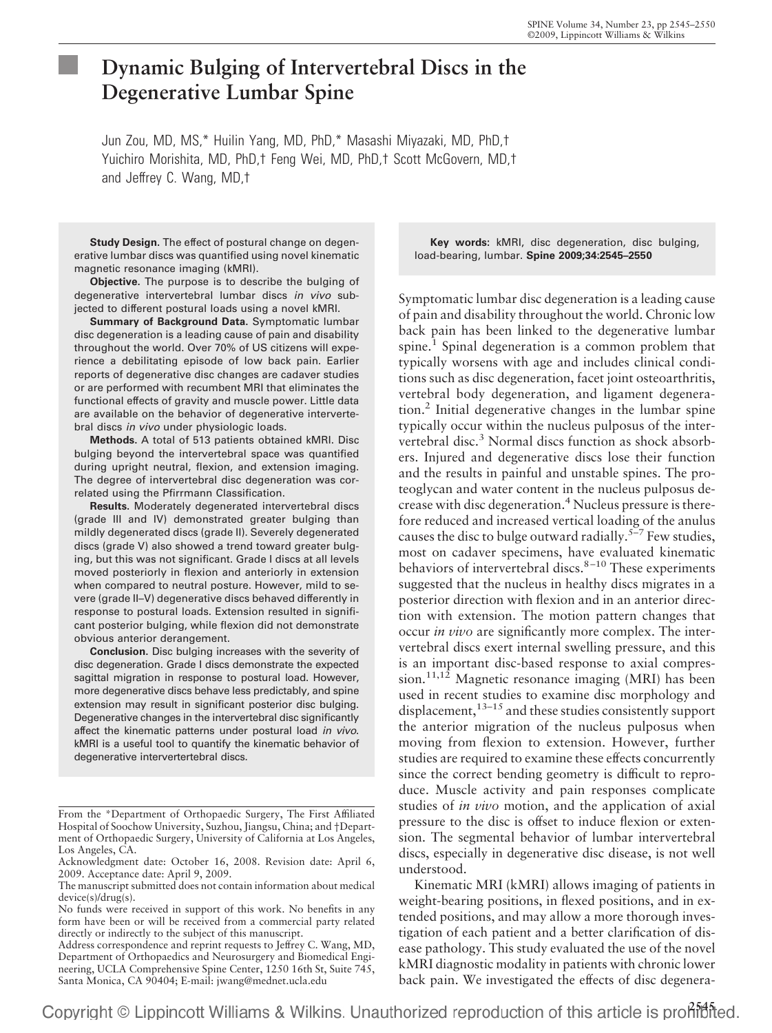# **Dynamic Bulging of Intervertebral Discs in the Degenerative Lumbar Spine**

Jun Zou, MD, MS,\* Huilin Yang, MD, PhD,\* Masashi Miyazaki, MD, PhD,† Yuichiro Morishita, MD, PhD,† Feng Wei, MD, PhD,† Scott McGovern, MD,† and Jeffrey C. Wang, MD,†

**Study Design.** The effect of postural change on degenerative lumbar discs was quantified using novel kinematic magnetic resonance imaging (kMRI).

**Objective.** The purpose is to describe the bulging of degenerative intervertebral lumbar discs *in vivo* subjected to different postural loads using a novel kMRI.

**Summary of Background Data.** Symptomatic lumbar disc degeneration is a leading cause of pain and disability throughout the world. Over 70% of US citizens will experience a debilitating episode of low back pain. Earlier reports of degenerative disc changes are cadaver studies or are performed with recumbent MRI that eliminates the functional effects of gravity and muscle power. Little data are available on the behavior of degenerative intervertebral discs *in vivo* under physiologic loads.

**Methods.** A total of 513 patients obtained kMRI. Disc bulging beyond the intervertebral space was quantified during upright neutral, flexion, and extension imaging. The degree of intervertebral disc degeneration was correlated using the Pfirrmann Classification.

**Results.** Moderately degenerated intervertebral discs (grade III and IV) demonstrated greater bulging than mildly degenerated discs (grade II). Severely degenerated discs (grade V) also showed a trend toward greater bulging, but this was not significant. Grade I discs at all levels moved posteriorly in flexion and anteriorly in extension when compared to neutral posture. However, mild to severe (grade II–V) degenerative discs behaved differently in response to postural loads. Extension resulted in significant posterior bulging, while flexion did not demonstrate obvious anterior derangement.

**Conclusion.** Disc bulging increases with the severity of disc degeneration. Grade I discs demonstrate the expected sagittal migration in response to postural load. However, more degenerative discs behave less predictably, and spine extension may result in significant posterior disc bulging. Degenerative changes in the intervertebral disc significantly affect the kinematic patterns under postural load *in vivo*. kMRI is a useful tool to quantify the kinematic behavior of degenerative intervertertebral discs.

**Key words:** kMRI, disc degeneration, disc bulging, load-bearing, lumbar. **Spine 2009;34:2545–2550**

Symptomatic lumbar disc degeneration is a leading cause of pain and disability throughout the world. Chronic low back pain has been linked to the degenerative lumbar spine.<sup>1</sup> Spinal degeneration is a common problem that typically worsens with age and includes clinical conditions such as disc degeneration, facet joint osteoarthritis, vertebral body degeneration, and ligament degeneration.2 Initial degenerative changes in the lumbar spine typically occur within the nucleus pulposus of the intervertebral disc.<sup>3</sup> Normal discs function as shock absorbers. Injured and degenerative discs lose their function and the results in painful and unstable spines. The proteoglycan and water content in the nucleus pulposus decrease with disc degeneration.<sup>4</sup> Nucleus pressure is therefore reduced and increased vertical loading of the anulus causes the disc to bulge outward radially.<sup>5–7</sup> Few studies, most on cadaver specimens, have evaluated kinematic behaviors of intervertebral discs. $8-10$  These experiments suggested that the nucleus in healthy discs migrates in a posterior direction with flexion and in an anterior direction with extension. The motion pattern changes that occur *in vivo* are significantly more complex. The intervertebral discs exert internal swelling pressure, and this is an important disc-based response to axial compression.<sup>11,12</sup> Magnetic resonance imaging (MRI) has been used in recent studies to examine disc morphology and displacement,<sup>13-15</sup> and these studies consistently support the anterior migration of the nucleus pulposus when moving from flexion to extension. However, further studies are required to examine these effects concurrently since the correct bending geometry is difficult to reproduce. Muscle activity and pain responses complicate studies of *in vivo* motion, and the application of axial pressure to the disc is offset to induce flexion or extension. The segmental behavior of lumbar intervertebral discs, especially in degenerative disc disease, is not well understood.

Kinematic MRI (kMRI) allows imaging of patients in weight-bearing positions, in flexed positions, and in extended positions, and may allow a more thorough investigation of each patient and a better clarification of disease pathology. This study evaluated the use of the novel kMRI diagnostic modality in patients with chronic lower back pain. We investigated the effects of disc degenera-

From the \*Department of Orthopaedic Surgery, The First Affiliated Hospital of Soochow University, Suzhou, Jiangsu, China; and †Department of Orthopaedic Surgery, University of California at Los Angeles, Los Angeles, CA.

Acknowledgment date: October 16, 2008. Revision date: April 6, 2009. Acceptance date: April 9, 2009.

The manuscript submitted does not contain information about medical device(s)/drug(s).

No funds were received in support of this work. No benefits in any form have been or will be received from a commercial party related directly or indirectly to the subject of this manuscript.

Address correspondence and reprint requests to Jeffrey C. Wang, MD, Department of Orthopaedics and Neurosurgery and Biomedical Engineering, UCLA Comprehensive Spine Center, 1250 16th St, Suite 745, Santa Monica, CA 90404; E-mail: jwang@mednet.ucla.edu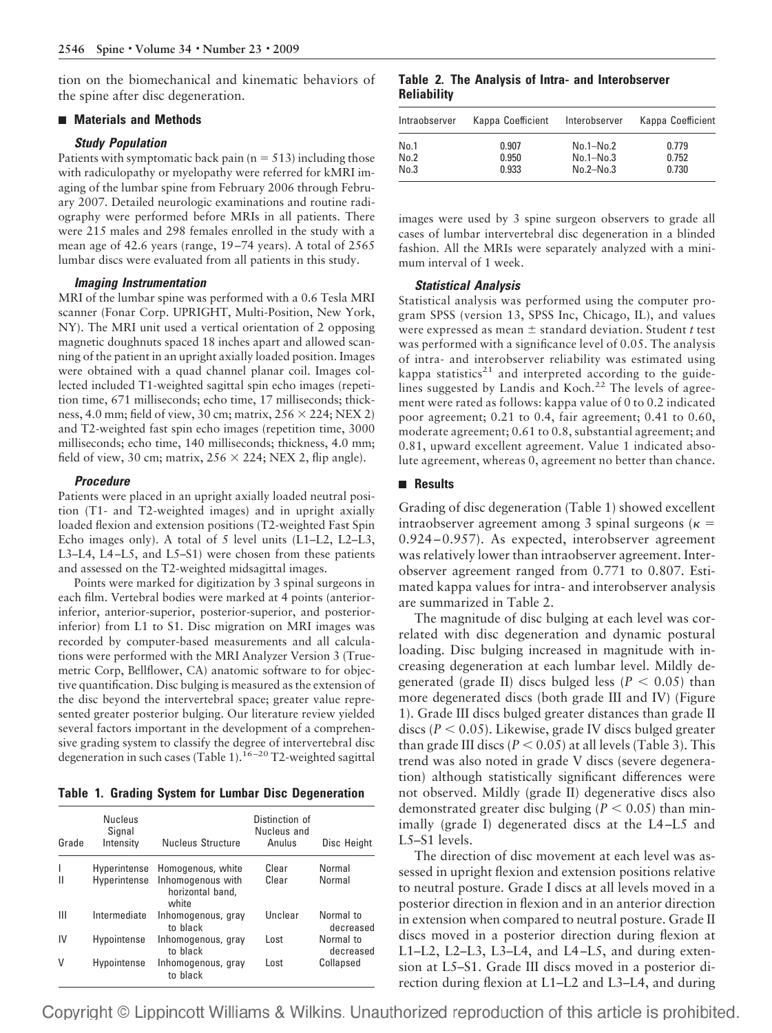tion on the biomechanical and kinematic behaviors of the spine after disc degeneration.

## **Materials and Methods**

#### *Study Population*

Patients with symptomatic back pain ( $n = 513$ ) including those with radiculopathy or myelopathy were referred for kMRI imaging of the lumbar spine from February 2006 through February 2007. Detailed neurologic examinations and routine radiography were performed before MRIs in all patients. There were 215 males and 298 females enrolled in the study with a mean age of 42.6 years (range, 19–74 years). A total of 2565 lumbar discs were evaluated from all patients in this study.

## *Imaging Instrumentation*

MRI of the lumbar spine was performed with a 0.6 Tesla MRI scanner (Fonar Corp. UPRIGHT, Multi-Position, New York, NY). The MRI unit used a vertical orientation of 2 opposing magnetic doughnuts spaced 18 inches apart and allowed scanning of the patient in an upright axially loaded position. Images were obtained with a quad channel planar coil. Images collected included T1-weighted sagittal spin echo images (repetition time, 671 milliseconds; echo time, 17 milliseconds; thickness, 4.0 mm; field of view, 30 cm; matrix, 256  $\times$  224; NEX 2) and T2-weighted fast spin echo images (repetition time, 3000 milliseconds; echo time, 140 milliseconds; thickness, 4.0 mm; field of view, 30 cm; matrix,  $256 \times 224$ ; NEX 2, flip angle).

## *Procedure*

Patients were placed in an upright axially loaded neutral position (T1- and T2-weighted images) and in upright axially loaded flexion and extension positions (T2-weighted Fast Spin Echo images only). A total of 5 level units (L1–L2, L2–L3, L3–L4, L4–L5, and L5–S1) were chosen from these patients and assessed on the T2-weighted midsagittal images.

Points were marked for digitization by 3 spinal surgeons in each film. Vertebral bodies were marked at 4 points (anteriorinferior, anterior-superior, posterior-superior, and posteriorinferior) from L1 to S1. Disc migration on MRI images was recorded by computer-based measurements and all calculations were performed with the MRI Analyzer Version 3 (Truemetric Corp, Bellflower, CA) anatomic software to for objective quantification. Disc bulging is measured as the extension of the disc beyond the intervertebral space; greater value represented greater posterior bulging. Our literature review yielded several factors important in the development of a comprehensive grading system to classify the degree of intervertebral disc degeneration in such cases (Table 1).<sup>16–20</sup> T2-weighted sagittal

**Table 1. Grading System for Lumbar Disc Degeneration**

| Grade | <b>Nucleus</b><br>Signal<br>Intensity | Nucleus Structure                              | Distinction of<br>Nucleus and<br>Anulus | Disc Height            |
|-------|---------------------------------------|------------------------------------------------|-----------------------------------------|------------------------|
|       | Hyperintense                          | Homogenous, white                              | Clear                                   | Normal                 |
|       | Hyperintense                          | Inhomogenous with<br>horizontal band,<br>white | Clear                                   | Normal                 |
| Ш     | Intermediate                          | Inhomogenous, gray<br>to black                 | Unclear                                 | Normal to<br>decreased |
| IV    | Hypointense                           | Inhomogenous, gray<br>to black                 | Lost                                    | Normal to<br>decreased |
| V     | Hypointense                           | Inhomogenous, gray<br>to black                 | Lost                                    | Collapsed              |

# **Table 2. The Analysis of Intra- and Interobserver Reliability**

| Intraobserver | Kappa Coefficient | Interobserver | Kappa Coefficient |
|---------------|-------------------|---------------|-------------------|
| No.1          | 0.907             | $No.1-No.2$   | 0.779             |
| No.2          | 0.950             | $No.1-No.3$   | 0.752             |
| No.3          | 0.933             | $No.2-No.3$   | 0.730             |

images were used by 3 spine surgeon observers to grade all cases of lumbar intervertebral disc degeneration in a blinded fashion. All the MRIs were separately analyzed with a minimum interval of 1 week.

## *Statistical Analysis*

Statistical analysis was performed using the computer program SPSS (version 13, SPSS Inc, Chicago, IL), and values were expressed as mean  $\pm$  standard deviation. Student *t* test was performed with a significance level of 0.05. The analysis of intra- and interobserver reliability was estimated using kappa statistics<sup>21</sup> and interpreted according to the guidelines suggested by Landis and Koch.<sup>22</sup> The levels of agreement were rated as follows: kappa value of 0 to 0.2 indicated poor agreement; 0.21 to 0.4, fair agreement; 0.41 to 0.60, moderate agreement; 0.61 to 0.8, substantial agreement; and 0.81, upward excellent agreement. Value 1 indicated absolute agreement, whereas 0, agreement no better than chance.

# **Results**

Grading of disc degeneration (Table 1) showed excellent intraobserver agreement among 3 spinal surgeons ( $\kappa$  = 0.924–0.957). As expected, interobserver agreement was relatively lower than intraobserver agreement. Interobserver agreement ranged from 0.771 to 0.807. Estimated kappa values for intra- and interobserver analysis are summarized in Table 2.

The magnitude of disc bulging at each level was correlated with disc degeneration and dynamic postural loading. Disc bulging increased in magnitude with increasing degeneration at each lumbar level. Mildly degenerated (grade II) discs bulged less  $(P < 0.05)$  than more degenerated discs (both grade III and IV) (Figure 1). Grade III discs bulged greater distances than grade II discs  $(P < 0.05)$ . Likewise, grade IV discs bulged greater than grade III discs ( $P < 0.05$ ) at all levels (Table 3). This trend was also noted in grade V discs (severe degeneration) although statistically significant differences were not observed. Mildly (grade II) degenerative discs also demonstrated greater disc bulging ( $P < 0.05$ ) than minimally (grade I) degenerated discs at the L4–L5 and L5–S1 levels.

The direction of disc movement at each level was assessed in upright flexion and extension positions relative to neutral posture. Grade I discs at all levels moved in a posterior direction in flexion and in an anterior direction in extension when compared to neutral posture. Grade II discs moved in a posterior direction during flexion at L1–L2, L2–L3, L3–L4, and L4–L5, and during extension at L5–S1. Grade III discs moved in a posterior direction during flexion at L1–L2 and L3–L4, and during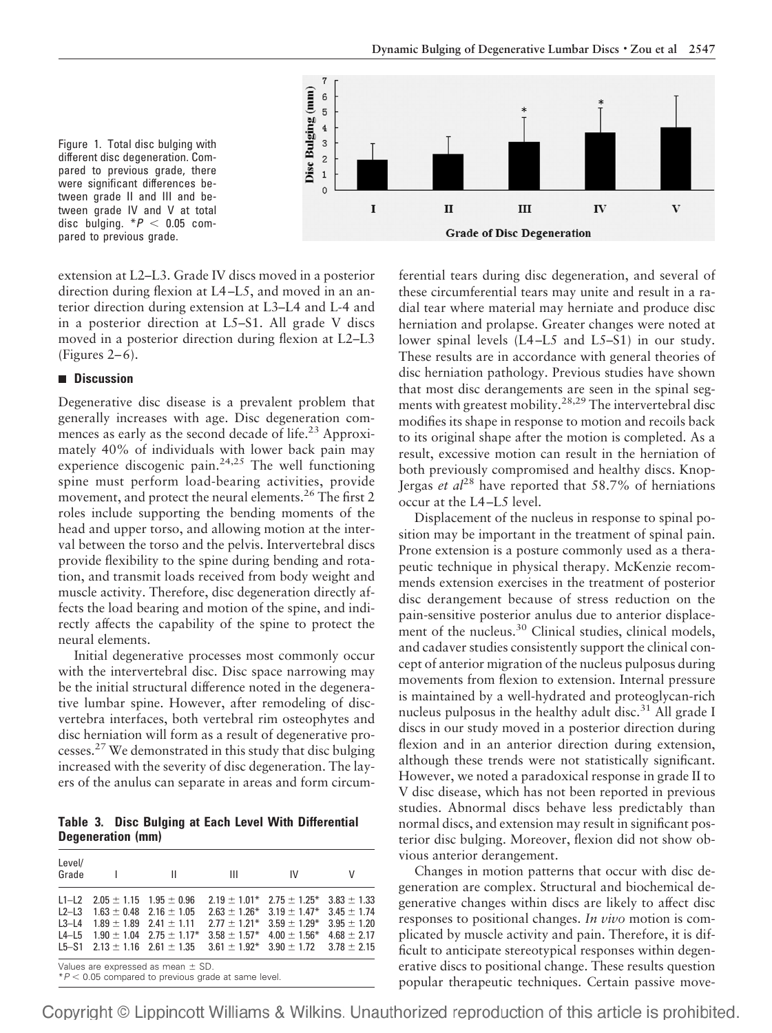

Figure 1. Total disc bulging with different disc degeneration. Compared to previous grade, there were significant differences between grade II and III and between grade IV and V at total disc bulging.  $*P < 0.05$  compared to previous grade.

extension at L2–L3. Grade IV discs moved in a posterior direction during flexion at L4–L5, and moved in an anterior direction during extension at L3–L4 and L-4 and in a posterior direction at L5–S1. All grade V discs moved in a posterior direction during flexion at L2–L3 (Figures 2–6).

# **Discussion**

Degenerative disc disease is a prevalent problem that generally increases with age. Disc degeneration commences as early as the second decade of life.<sup>23</sup> Approximately 40% of individuals with lower back pain may experience discogenic pain.<sup>24,25</sup> The well functioning spine must perform load-bearing activities, provide movement, and protect the neural elements.<sup>26</sup> The first 2 roles include supporting the bending moments of the head and upper torso, and allowing motion at the interval between the torso and the pelvis. Intervertebral discs provide flexibility to the spine during bending and rotation, and transmit loads received from body weight and muscle activity. Therefore, disc degeneration directly affects the load bearing and motion of the spine, and indirectly affects the capability of the spine to protect the neural elements.

Initial degenerative processes most commonly occur with the intervertebral disc. Disc space narrowing may be the initial structural difference noted in the degenerative lumbar spine. However, after remodeling of discvertebra interfaces, both vertebral rim osteophytes and disc herniation will form as a result of degenerative processes.27 We demonstrated in this study that disc bulging increased with the severity of disc degeneration. The layers of the anulus can separate in areas and form circum-

**Table 3. Disc Bulging at Each Level With Differential Degeneration (mm)**

| Level/                                                                                                                                                  |  |  | Grade I II III IV V                                                                        |  |  |  |  |  |
|---------------------------------------------------------------------------------------------------------------------------------------------------------|--|--|--------------------------------------------------------------------------------------------|--|--|--|--|--|
|                                                                                                                                                         |  |  | L1-L2 $2.05 \pm 1.15$ $1.95 \pm 0.96$ $2.19 \pm 1.01^*$ $2.75 \pm 1.25^*$ $3.83 \pm 1.33$  |  |  |  |  |  |
|                                                                                                                                                         |  |  | L2-L3 $1.63 \pm 0.48$ 2.16 $\pm 1.05$ 2.63 $\pm 1.26^*$ 3.19 $\pm 1.47^*$ 3.45 $\pm 1.74$  |  |  |  |  |  |
|                                                                                                                                                         |  |  | L3-L4 1.89 $\pm$ 1.89 2.41 $\pm$ 1.11 2.77 $\pm$ 1.21* 3.59 $\pm$ 1.29* 3.95 $\pm$ 1.20    |  |  |  |  |  |
|                                                                                                                                                         |  |  | $14-15$ 1.90 $\pm$ 1.04 2.75 $\pm$ 1.17* 3.58 $\pm$ 1.57* 4.00 $\pm$ 1.56* 4.68 $\pm$ 2.17 |  |  |  |  |  |
|                                                                                                                                                         |  |  | L5-S1 2.13 $\pm$ 1.16 2.61 $\pm$ 1.35 3.61 $\pm$ 1.92* 3.90 $\pm$ 1.72 3.78 $\pm$ 2.15     |  |  |  |  |  |
| Values are expressed as mean $\pm$ SD.<br>$*$ D $>$ O OF $\sim$ and $\sim$ and $\sim$ and $\sim$ and $\sim$ and $\sim$ and $\sim$ and $\sim$ and $\sim$ |  |  |                                                                                            |  |  |  |  |  |

 $<$  0.05 compared to previous grade at same level.

ferential tears during disc degeneration, and several of these circumferential tears may unite and result in a radial tear where material may herniate and produce disc herniation and prolapse. Greater changes were noted at lower spinal levels (L4–L5 and L5–S1) in our study. These results are in accordance with general theories of disc herniation pathology. Previous studies have shown that most disc derangements are seen in the spinal segments with greatest mobility.<sup>28,29</sup> The intervertebral disc modifies its shape in response to motion and recoils back to its original shape after the motion is completed. As a result, excessive motion can result in the herniation of both previously compromised and healthy discs. Knop-Jergas *et al*<sup>28</sup> have reported that 58.7% of herniations occur at the L4–L5 level.

Displacement of the nucleus in response to spinal position may be important in the treatment of spinal pain. Prone extension is a posture commonly used as a therapeutic technique in physical therapy. McKenzie recommends extension exercises in the treatment of posterior disc derangement because of stress reduction on the pain-sensitive posterior anulus due to anterior displacement of the nucleus.<sup>30</sup> Clinical studies, clinical models, and cadaver studies consistently support the clinical concept of anterior migration of the nucleus pulposus during movements from flexion to extension. Internal pressure is maintained by a well-hydrated and proteoglycan-rich nucleus pulposus in the healthy adult disc.<sup>31</sup> All grade I discs in our study moved in a posterior direction during flexion and in an anterior direction during extension, although these trends were not statistically significant. However, we noted a paradoxical response in grade II to V disc disease, which has not been reported in previous studies. Abnormal discs behave less predictably than normal discs, and extension may result in significant posterior disc bulging. Moreover, flexion did not show obvious anterior derangement.

Changes in motion patterns that occur with disc degeneration are complex. Structural and biochemical degenerative changes within discs are likely to affect disc responses to positional changes. *In vivo* motion is complicated by muscle activity and pain. Therefore, it is difficult to anticipate stereotypical responses within degenerative discs to positional change. These results question popular therapeutic techniques. Certain passive move-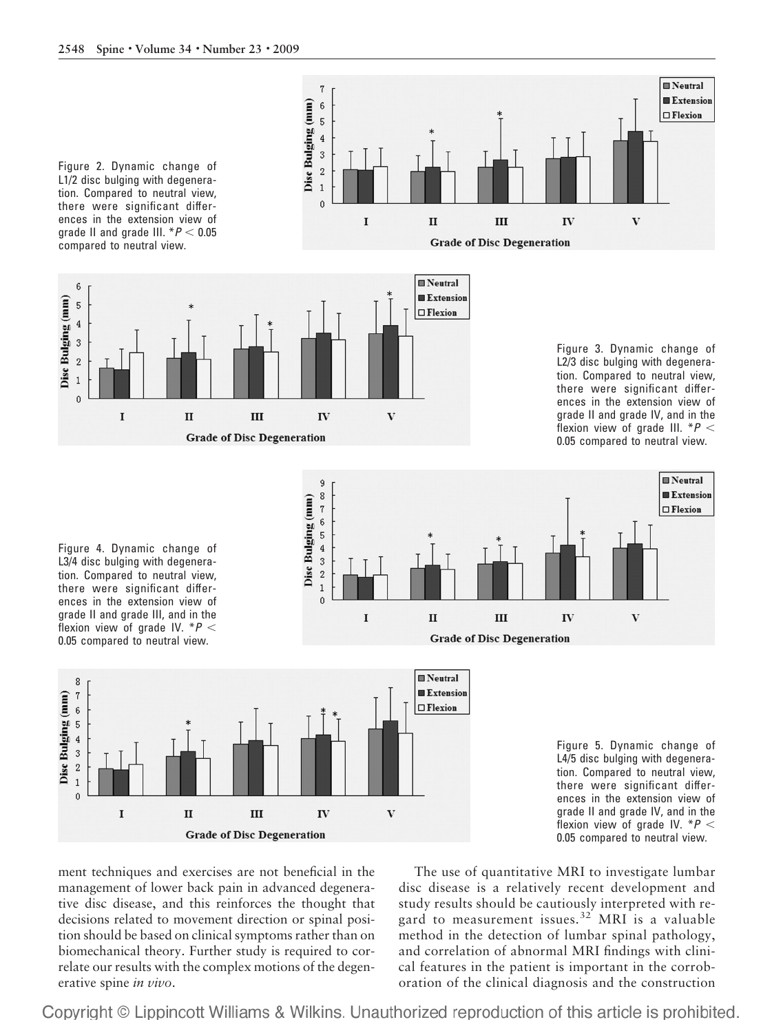





Figure 3. Dynamic change of L2/3 disc bulging with degeneration. Compared to neutral view, there were significant differences in the extension view of grade II and grade IV, and in the flexion view of grade III. \**P* 0.05 compared to neutral view.







Figure 5. Dynamic change of L4/5 disc bulging with degeneration. Compared to neutral view, there were significant differences in the extension view of grade II and grade IV, and in the flexion view of grade IV. \**P* 0.05 compared to neutral view.

ment techniques and exercises are not beneficial in the management of lower back pain in advanced degenerative disc disease, and this reinforces the thought that decisions related to movement direction or spinal position should be based on clinical symptoms rather than on biomechanical theory. Further study is required to correlate our results with the complex motions of the degenerative spine *in vivo*.

The use of quantitative MRI to investigate lumbar disc disease is a relatively recent development and study results should be cautiously interpreted with regard to measurement issues.<sup>32</sup> MRI is a valuable method in the detection of lumbar spinal pathology, and correlation of abnormal MRI findings with clinical features in the patient is important in the corroboration of the clinical diagnosis and the construction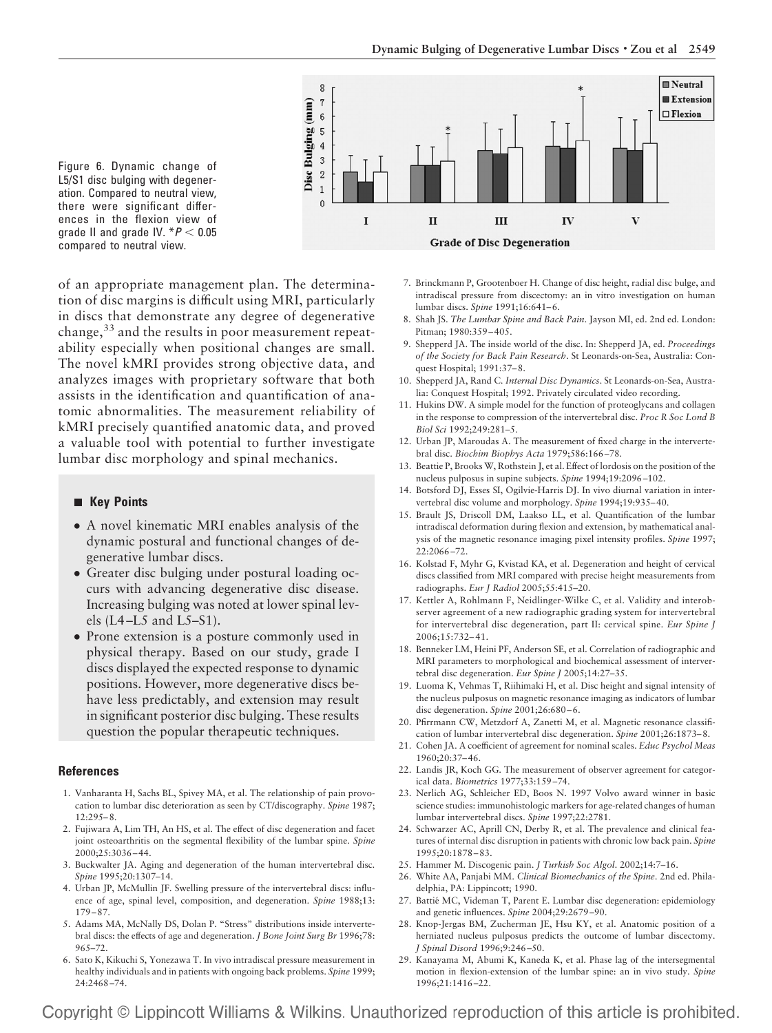

Figure 6. Dynamic change of L5/S1 disc bulging with degeneration. Compared to neutral view, there were significant differences in the flexion view of grade II and grade IV.  $*P < 0.05$ compared to neutral view.

of an appropriate management plan. The determination of disc margins is difficult using MRI, particularly in discs that demonstrate any degree of degenerative change,<sup>33</sup> and the results in poor measurement repeatability especially when positional changes are small. The novel kMRI provides strong objective data, and analyzes images with proprietary software that both assists in the identification and quantification of anatomic abnormalities. The measurement reliability of kMRI precisely quantified anatomic data, and proved a valuable tool with potential to further investigate lumbar disc morphology and spinal mechanics.

# **Key Points**

- A novel kinematic MRI enables analysis of the dynamic postural and functional changes of degenerative lumbar discs.
- Greater disc bulging under postural loading occurs with advancing degenerative disc disease. Increasing bulging was noted at lower spinal levels (L4–L5 and L5–S1).
- Prone extension is a posture commonly used in physical therapy. Based on our study, grade I discs displayed the expected response to dynamic positions. However, more degenerative discs behave less predictably, and extension may result in significant posterior disc bulging. These results question the popular therapeutic techniques.

#### **References**

- 1. Vanharanta H, Sachs BL, Spivey MA, et al. The relationship of pain provocation to lumbar disc deterioration as seen by CT/discography. *Spine* 1987;  $12.295 - 8$ .
- 2. Fujiwara A, Lim TH, An HS, et al. The effect of disc degeneration and facet joint osteoarthritis on the segmental flexibility of the lumbar spine. *Spine* 2000;25:3036–44.
- 3. Buckwalter JA. Aging and degeneration of the human intervertebral disc. *Spine* 1995;20:1307–14.
- 4. Urban JP, McMullin JF. Swelling pressure of the intervertebral discs: influence of age, spinal level, composition, and degeneration. *Spine* 1988;13: 179–87.
- 5. Adams MA, McNally DS, Dolan P. "Stress" distributions inside intervertebral discs: the effects of age and degeneration. *J Bone Joint Surg Br* 1996;78: 965–72.
- 6. Sato K, Kikuchi S, Yonezawa T. In vivo intradiscal pressure measurement in healthy individuals and in patients with ongoing back problems. *Spine* 1999; 24:2468–74.
- 7. Brinckmann P, Grootenboer H. Change of disc height, radial disc bulge, and intradiscal pressure from discectomy: an in vitro investigation on human lumbar discs. *Spine* 1991;16:641–6.
- 8. Shah JS. *The Lumbar Spine and Back Pain*. Jayson MI, ed. 2nd ed. London: Pitman; 1980:359–405.
- 9. Shepperd JA. The inside world of the disc. In: Shepperd JA, ed. *Proceedings of the Society for Back Pain Research*. St Leonards-on-Sea, Australia: Conquest Hospital; 1991:37–8.
- 10. Shepperd JA, Rand C. *Internal Disc Dynamics*. St Leonards-on-Sea, Australia: Conquest Hospital; 1992. Privately circulated video recording.
- 11. Hukins DW. A simple model for the function of proteoglycans and collagen in the response to compression of the intervertebral disc. *Proc R Soc Lond B Biol Sci* 1992;249:281–5.
- 12. Urban JP, Maroudas A. The measurement of fixed charge in the intervertebral disc. *Biochim Biophys Acta* 1979;586:166–78.
- 13. Beattie P, Brooks W, Rothstein J, et al. Effect of lordosis on the position of the nucleus pulposus in supine subjects. *Spine* 1994;19:2096–102.
- 14. Botsford DJ, Esses SI, Ogilvie-Harris DJ. In vivo diurnal variation in intervertebral disc volume and morphology. *Spine* 1994;19:935–40.
- 15. Brault JS, Driscoll DM, Laakso LL, et al. Quantification of the lumbar intradiscal deformation during flexion and extension, by mathematical analysis of the magnetic resonance imaging pixel intensity profiles. *Spine* 1997; 22:2066–72.
- 16. Kolstad F, Myhr G, Kvistad KA, et al. Degeneration and height of cervical discs classified from MRI compared with precise height measurements from radiographs. *Eur J Radiol* 2005;55:415–20.
- 17. Kettler A, Rohlmann F, Neidlinger-Wilke C, et al. Validity and interobserver agreement of a new radiographic grading system for intervertebral for intervertebral disc degeneration, part II: cervical spine. *Eur Spine J* 2006;15:732–41.
- 18. Benneker LM, Heini PF, Anderson SE, et al. Correlation of radiographic and MRI parameters to morphological and biochemical assessment of intervertebral disc degeneration. *Eur Spine J* 2005;14:27–35.
- 19. Luoma K, Vehmas T, Riihimaki H, et al. Disc height and signal intensity of the nucleus pulposus on magnetic resonance imaging as indicators of lumbar disc degeneration. *Spine* 2001;26:680–6.
- 20. Pfirrmann CW, Metzdorf A, Zanetti M, et al. Magnetic resonance classification of lumbar intervertebral disc degeneration. *Spine* 2001;26:1873–8.
- 21. Cohen JA. A coefficient of agreement for nominal scales. *Educ Psychol Meas* 1960;20:37–46.
- 22. Landis JR, Koch GG. The measurement of observer agreement for categorical data. *Biometrics* 1977;33:159–74.
- 23. Nerlich AG, Schleicher ED, Boos N. 1997 Volvo award winner in basic science studies: immunohistologic markers for age-related changes of human lumbar intervertebral discs. *Spine* 1997;22:2781.
- 24. Schwarzer AC, Aprill CN, Derby R, et al. The prevalence and clinical features of internal disc disruption in patients with chronic low back pain. *Spine* 1995;20:1878–83.
- 25. Hammer M. Discogenic pain. *J Turkish Soc Algol*. 2002;14:7–16.
- 26. White AA, Panjabi MM. *Clinical Biomechanics of the Spine*. 2nd ed. Philadelphia, PA: Lippincott; 1990.
- 27. Battié MC, Videman T, Parent E. Lumbar disc degeneration: epidemiology and genetic influences. *Spine* 2004;29:2679–90.
- 28. Knop-Jergas BM, Zucherman JE, Hsu KY, et al. Anatomic position of a herniated nucleus pulposus predicts the outcome of lumbar discectomy. *J Spinal Disord* 1996;9:246–50.
- 29. Kanayama M, Abumi K, Kaneda K, et al. Phase lag of the intersegmental motion in flexion-extension of the lumbar spine: an in vivo study. *Spine* 1996;21:1416–22.